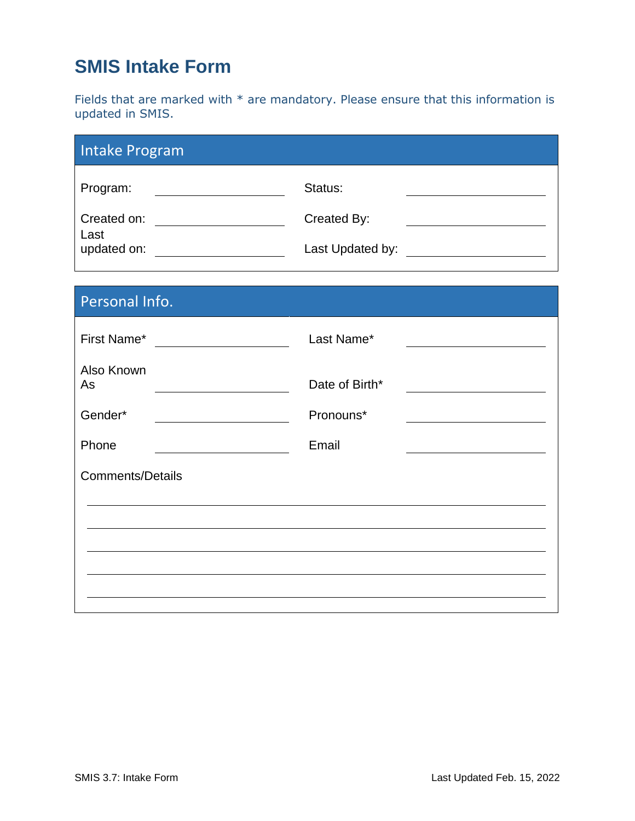# **SMIS Intake Form**

Fields that are marked with \* are mandatory. Please ensure that this information is updated in SMIS.

| Intake Program      |                  |
|---------------------|------------------|
| Program:            | Status:          |
| Created on:         | Created By:      |
| Last<br>updated on: | Last Updated by: |

| Personal Info.          |                |  |  |  |  |  |
|-------------------------|----------------|--|--|--|--|--|
| First Name*             | Last Name*     |  |  |  |  |  |
| Also Known<br>As        | Date of Birth* |  |  |  |  |  |
| Gender*                 | Pronouns*      |  |  |  |  |  |
| Phone                   | Email          |  |  |  |  |  |
| <b>Comments/Details</b> |                |  |  |  |  |  |
|                         |                |  |  |  |  |  |
|                         |                |  |  |  |  |  |
|                         |                |  |  |  |  |  |
|                         |                |  |  |  |  |  |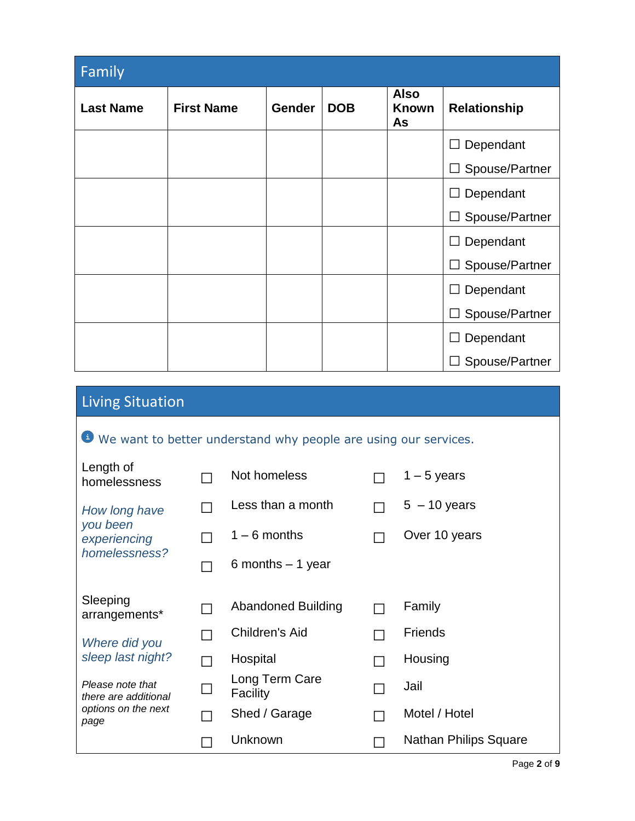| Family           |                   |               |            |                                   |                          |
|------------------|-------------------|---------------|------------|-----------------------------------|--------------------------|
| <b>Last Name</b> | <b>First Name</b> | <b>Gender</b> | <b>DOB</b> | <b>Also</b><br><b>Known</b><br>As | <b>Relationship</b>      |
|                  |                   |               |            |                                   | $\Box$ Dependant         |
|                  |                   |               |            |                                   | $\Box$ Spouse/Partner    |
|                  |                   |               |            |                                   | $\Box$ Dependant         |
|                  |                   |               |            |                                   | Spouse/Partner<br>$\Box$ |
|                  |                   |               |            |                                   | $\Box$ Dependant         |
|                  |                   |               |            |                                   | $\Box$ Spouse/Partner    |
|                  |                   |               |            |                                   | Dependant<br>$\Box$      |
|                  |                   |               |            |                                   | Spouse/Partner<br>$\Box$ |
|                  |                   |               |            |                                   | Dependant<br>$\Box$      |
|                  |                   |               |            |                                   | Spouse/Partner<br>$\Box$ |

| <b>Living Situation</b> |
|-------------------------|
|                         |

|  | We want to better understand why people are using our services. |
|--|-----------------------------------------------------------------|
|  |                                                                 |

| Length of<br>homelessness                |              | Not homeless               | $1 - 5$ years         |
|------------------------------------------|--------------|----------------------------|-----------------------|
| How long have                            |              | Less than a month          | $5 - 10$ years        |
| you been<br>experiencing                 |              | $1 - 6$ months             | Over 10 years         |
| homelessness?                            |              | 6 months $-1$ year         |                       |
| Sleeping<br>arrangements*                |              | <b>Abandoned Building</b>  | Family                |
| Where did you                            |              | Children's Aid             | <b>Friends</b>        |
| sleep last night?                        |              | Hospital                   | Housing               |
| Please note that<br>there are additional | $\mathsf{L}$ | Long Term Care<br>Facility | Jail                  |
| options on the next<br>page              |              | Shed / Garage              | Motel / Hotel         |
|                                          |              | Unknown                    | Nathan Philips Square |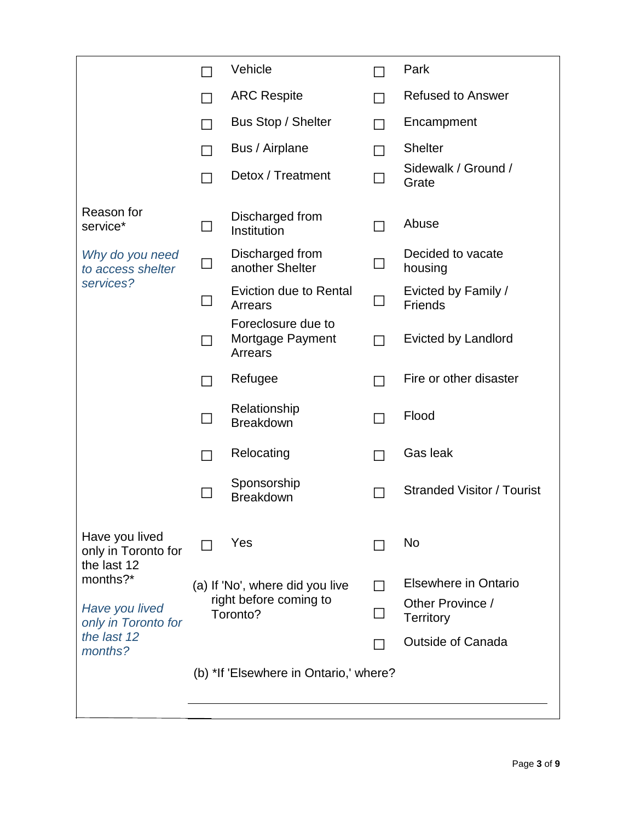|                                                      |                                        | Vehicle                                           |  | Park                                  |
|------------------------------------------------------|----------------------------------------|---------------------------------------------------|--|---------------------------------------|
|                                                      |                                        | <b>ARC Respite</b>                                |  | <b>Refused to Answer</b>              |
|                                                      |                                        | Bus Stop / Shelter                                |  | Encampment                            |
|                                                      |                                        | Bus / Airplane                                    |  | <b>Shelter</b>                        |
|                                                      |                                        | Detox / Treatment                                 |  | Sidewalk / Ground /<br>Grate          |
| Reason for<br>service*                               |                                        | Discharged from<br>Institution                    |  | Abuse                                 |
| Why do you need<br>to access shelter                 |                                        | Discharged from<br>another Shelter                |  | Decided to vacate<br>housing          |
| services?                                            |                                        | <b>Eviction due to Rental</b><br>Arrears          |  | Evicted by Family /<br><b>Friends</b> |
|                                                      |                                        | Foreclosure due to<br>Mortgage Payment<br>Arrears |  | <b>Evicted by Landlord</b>            |
|                                                      |                                        | Refugee                                           |  | Fire or other disaster                |
|                                                      |                                        | Relationship<br><b>Breakdown</b>                  |  | Flood                                 |
|                                                      |                                        | Relocating                                        |  | Gas leak                              |
|                                                      |                                        | Sponsorship<br><b>Breakdown</b>                   |  | <b>Stranded Visitor / Tourist</b>     |
| Have you lived<br>only in Toronto for<br>the last 12 |                                        | Yes                                               |  | No                                    |
| months?*                                             |                                        | (a) If 'No', where did you live                   |  | Elsewhere in Ontario                  |
| Have you lived<br>only in Toronto for                | right before coming to<br>Toronto?     |                                                   |  | Other Province /<br><b>Territory</b>  |
| the last 12<br>months?                               |                                        |                                                   |  | <b>Outside of Canada</b>              |
|                                                      | (b) *If 'Elsewhere in Ontario,' where? |                                                   |  |                                       |
|                                                      |                                        |                                                   |  |                                       |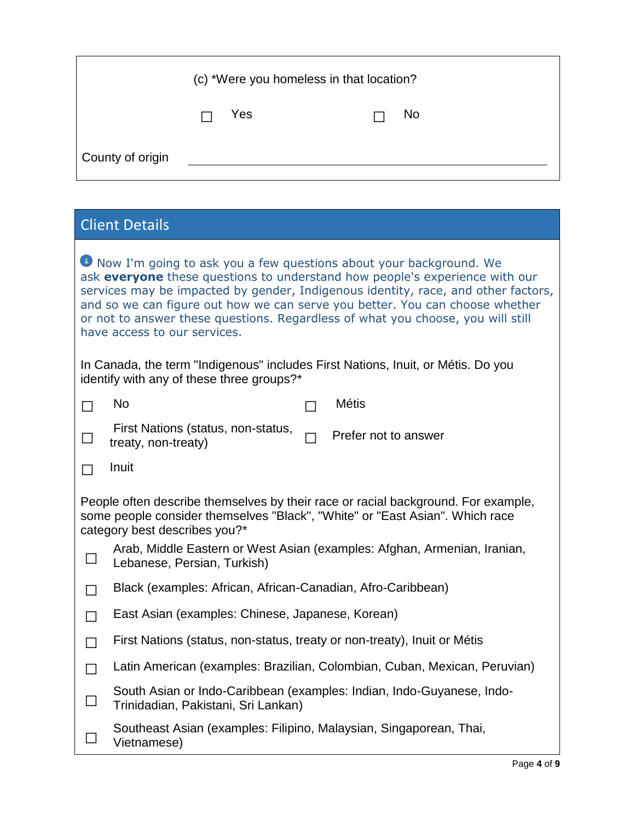|                  | (c) *Were you homeless in that location? |    |
|------------------|------------------------------------------|----|
|                  | Yes                                      | No |
| County of origin |                                          |    |

| <b>Client Details</b>                                                                                                                                                                                                                                                                                                                                                                                                                     |  |  |  |  |  |
|-------------------------------------------------------------------------------------------------------------------------------------------------------------------------------------------------------------------------------------------------------------------------------------------------------------------------------------------------------------------------------------------------------------------------------------------|--|--|--|--|--|
| Now I'm going to ask you a few questions about your background. We<br>ask everyone these questions to understand how people's experience with our<br>services may be impacted by gender, Indigenous identity, race, and other factors,<br>and so we can figure out how we can serve you better. You can choose whether<br>or not to answer these questions. Regardless of what you choose, you will still<br>have access to our services. |  |  |  |  |  |
| In Canada, the term "Indigenous" includes First Nations, Inuit, or Métis. Do you<br>identify with any of these three groups?*                                                                                                                                                                                                                                                                                                             |  |  |  |  |  |
| <b>No</b><br><b>Métis</b>                                                                                                                                                                                                                                                                                                                                                                                                                 |  |  |  |  |  |
| First Nations (status, non-status,<br>Prefer not to answer<br>treaty, non-treaty)                                                                                                                                                                                                                                                                                                                                                         |  |  |  |  |  |
| Inuit                                                                                                                                                                                                                                                                                                                                                                                                                                     |  |  |  |  |  |
| People often describe themselves by their race or racial background. For example,<br>some people consider themselves "Black", "White" or "East Asian". Which race<br>category best describes you?*                                                                                                                                                                                                                                        |  |  |  |  |  |
| Arab, Middle Eastern or West Asian (examples: Afghan, Armenian, Iranian,<br>$\sqcup$<br>Lebanese, Persian, Turkish)                                                                                                                                                                                                                                                                                                                       |  |  |  |  |  |
| Black (examples: African, African-Canadian, Afro-Caribbean)<br>$\Box$                                                                                                                                                                                                                                                                                                                                                                     |  |  |  |  |  |
| East Asian (examples: Chinese, Japanese, Korean)<br>П                                                                                                                                                                                                                                                                                                                                                                                     |  |  |  |  |  |
| First Nations (status, non-status, treaty or non-treaty), Inuit or Métis<br>П                                                                                                                                                                                                                                                                                                                                                             |  |  |  |  |  |
| Latin American (examples: Brazilian, Colombian, Cuban, Mexican, Peruvian)                                                                                                                                                                                                                                                                                                                                                                 |  |  |  |  |  |
| South Asian or Indo-Caribbean (examples: Indian, Indo-Guyanese, Indo-<br>Trinidadian, Pakistani, Sri Lankan)                                                                                                                                                                                                                                                                                                                              |  |  |  |  |  |
| Southeast Asian (examples: Filipino, Malaysian, Singaporean, Thai,<br>Vietnamese)                                                                                                                                                                                                                                                                                                                                                         |  |  |  |  |  |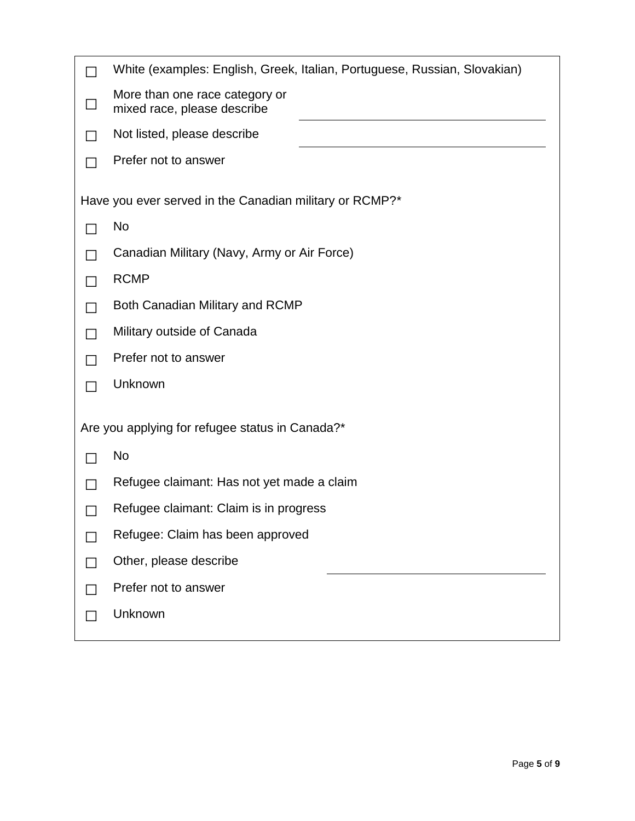| White (examples: English, Greek, Italian, Portuguese, Russian, Slovakian) |
|---------------------------------------------------------------------------|
| More than one race category or<br>mixed race, please describe             |
| Not listed, please describe                                               |
| Prefer not to answer                                                      |
| Have you ever served in the Canadian military or RCMP?*                   |
| <b>No</b>                                                                 |
| Canadian Military (Navy, Army or Air Force)                               |
| <b>RCMP</b>                                                               |
| Both Canadian Military and RCMP                                           |
| Military outside of Canada                                                |
| Prefer not to answer                                                      |
| Unknown                                                                   |
| Are you applying for refugee status in Canada?*                           |
| No                                                                        |
| Refugee claimant: Has not yet made a claim                                |
| Refugee claimant: Claim is in progress                                    |
| Refugee: Claim has been approved                                          |
| Other, please describe                                                    |
| Prefer not to answer                                                      |
| Unknown                                                                   |
|                                                                           |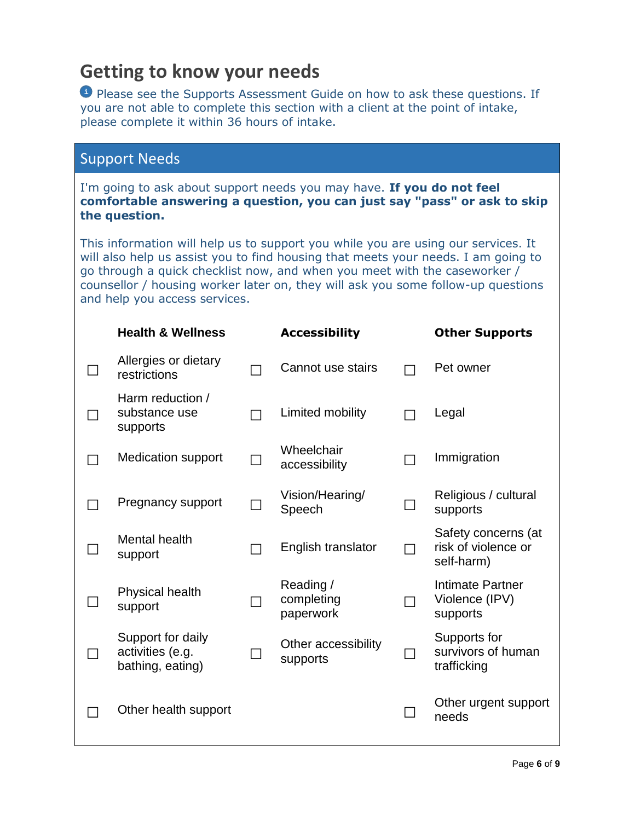## **Getting to know your needs**

**Please see the Supports Assessment Guide on how to ask these questions. If** you are not able to complete this section with a client at the point of intake, please complete it within 36 hours of intake.

#### Support Needs

I'm going to ask about support needs you may have. **If you do not feel comfortable answering a question, you can just say "pass" or ask to skip the question.**

This information will help us to support you while you are using our services. It will also help us assist you to find housing that meets your needs. I am going to go through a quick checklist now, and when you meet with the caseworker / counsellor / housing worker later on, they will ask you some follow-up questions and help you access services.

| <b>Health &amp; Wellness</b>                              |   | <b>Accessibility</b>                 |                | <b>Other Supports</b>                                    |
|-----------------------------------------------------------|---|--------------------------------------|----------------|----------------------------------------------------------|
| Allergies or dietary<br>restrictions                      | ┑ | Cannot use stairs                    |                | Pet owner                                                |
| Harm reduction /<br>substance use<br>supports             |   | Limited mobility                     |                | Legal                                                    |
| <b>Medication support</b>                                 |   | Wheelchair<br>accessibility          |                | Immigration                                              |
| Pregnancy support                                         |   | Vision/Hearing/<br>Speech            |                | Religious / cultural<br>supports                         |
| <b>Mental health</b><br>support                           |   | English translator                   | $\blacksquare$ | Safety concerns (at<br>risk of violence or<br>self-harm) |
| <b>Physical health</b><br>support                         |   | Reading /<br>completing<br>paperwork | $\Box$         | <b>Intimate Partner</b><br>Violence (IPV)<br>supports    |
| Support for daily<br>activities (e.g.<br>bathing, eating) |   | Other accessibility<br>supports      |                | Supports for<br>survivors of human<br>trafficking        |
| Other health support                                      |   |                                      | $\mathsf{L}$   | Other urgent support<br>needs                            |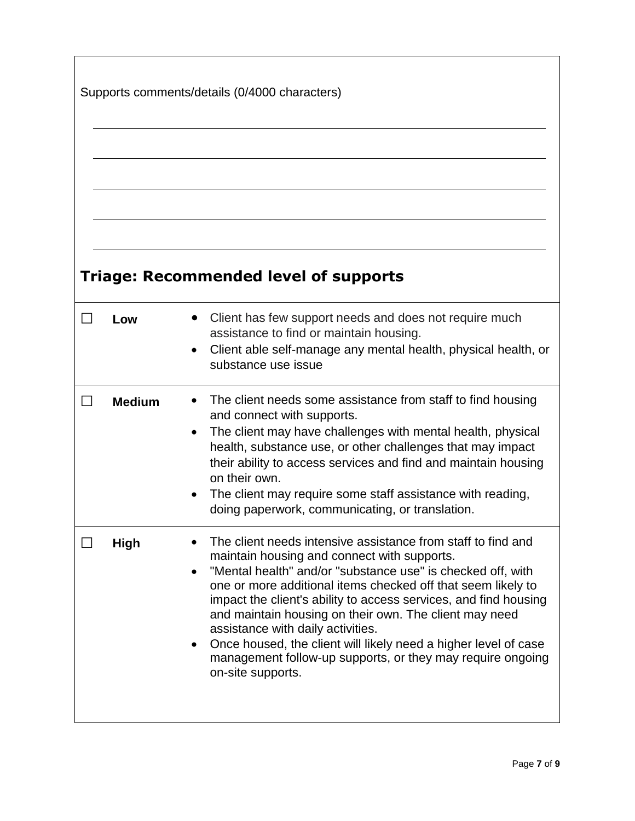|               | Supports comments/details (0/4000 characters)                                                                                                                                                                                                                                                                                                                                                                                                                                                                                                                       |
|---------------|---------------------------------------------------------------------------------------------------------------------------------------------------------------------------------------------------------------------------------------------------------------------------------------------------------------------------------------------------------------------------------------------------------------------------------------------------------------------------------------------------------------------------------------------------------------------|
|               | <b>Triage: Recommended level of supports</b>                                                                                                                                                                                                                                                                                                                                                                                                                                                                                                                        |
| Low           | Client has few support needs and does not require much<br>assistance to find or maintain housing.<br>Client able self-manage any mental health, physical health, or<br>$\bullet$<br>substance use issue                                                                                                                                                                                                                                                                                                                                                             |
| <b>Medium</b> | The client needs some assistance from staff to find housing<br>$\bullet$<br>and connect with supports.<br>The client may have challenges with mental health, physical<br>$\bullet$<br>health, substance use, or other challenges that may impact<br>their ability to access services and find and maintain housing<br>on their own.<br>The client may require some staff assistance with reading,<br>$\bullet$<br>doing paperwork, communicating, or translation.                                                                                                   |
| <b>High</b>   | The client needs intensive assistance from staff to find and<br>maintain housing and connect with supports.<br>"Mental health" and/or "substance use" is checked off, with<br>one or more additional items checked off that seem likely to<br>impact the client's ability to access services, and find housing<br>and maintain housing on their own. The client may need<br>assistance with daily activities.<br>Once housed, the client will likely need a higher level of case<br>management follow-up supports, or they may require ongoing<br>on-site supports. |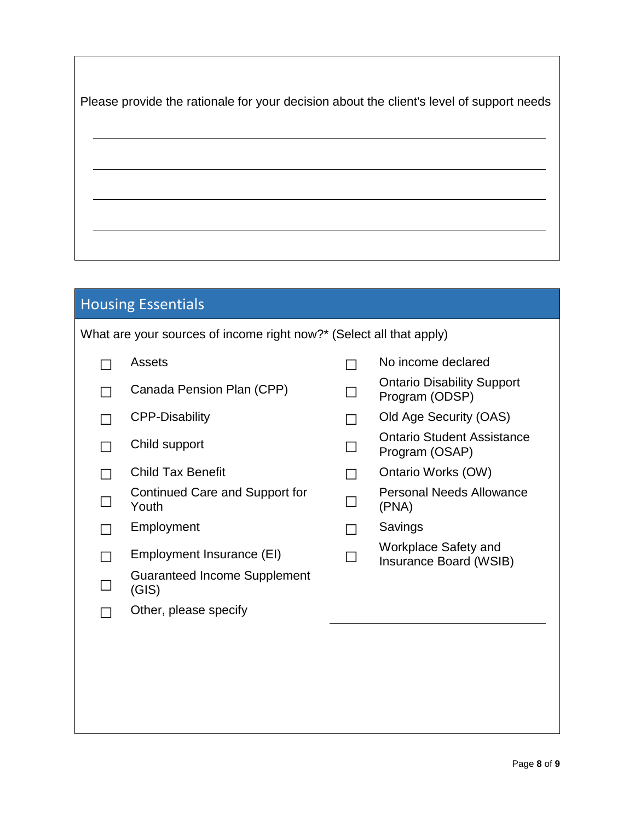|  |  |  | Please provide the rationale for your decision about the client's level of support needs |
|--|--|--|------------------------------------------------------------------------------------------|
|  |  |  |                                                                                          |

# Housing Essentials

| What are your sources of income right now?* (Select all that apply) |  |  |
|---------------------------------------------------------------------|--|--|
|                                                                     |  |  |

| Assets                                       |  | No income declared                                    |
|----------------------------------------------|--|-------------------------------------------------------|
| Canada Pension Plan (CPP)                    |  | <b>Ontario Disability Support</b><br>Program (ODSP)   |
| <b>CPP-Disability</b>                        |  | Old Age Security (OAS)                                |
| Child support                                |  | Ontario Student Assistance<br>Program (OSAP)          |
| <b>Child Tax Benefit</b>                     |  | Ontario Works (OW)                                    |
| Continued Care and Support for<br>Youth      |  | <b>Personal Needs Allowance</b><br>(PNA)              |
| Employment                                   |  | Savings                                               |
| Employment Insurance (EI)                    |  | <b>Workplace Safety and</b><br>Insurance Board (WSIB) |
| <b>Guaranteed Income Supplement</b><br>(GIS) |  |                                                       |
| Other, please specify                        |  |                                                       |
|                                              |  |                                                       |
|                                              |  |                                                       |
|                                              |  |                                                       |
|                                              |  |                                                       |